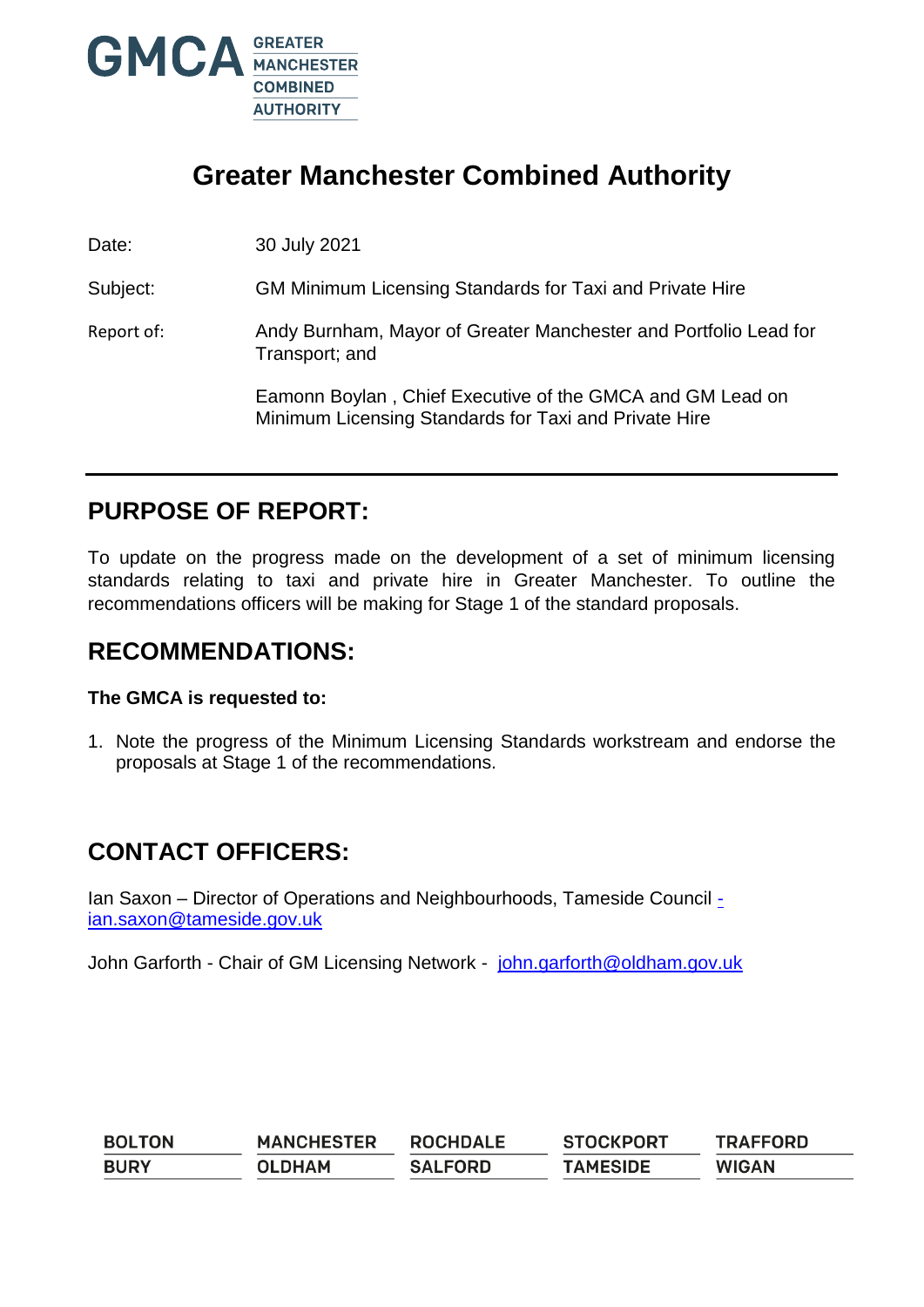

# **Greater Manchester Combined Authority**

Date: 30 July 2021

Subject: GM Minimum Licensing Standards for Taxi and Private Hire

Report of: Andy Burnham, Mayor of Greater Manchester and Portfolio Lead for Transport; and

> Eamonn Boylan , Chief Executive of the GMCA and GM Lead on Minimum Licensing Standards for Taxi and Private Hire

### **PURPOSE OF REPORT:**

To update on the progress made on the development of a set of minimum licensing standards relating to taxi and private hire in Greater Manchester. To outline the recommendations officers will be making for Stage 1 of the standard proposals.

### **RECOMMENDATIONS:**

#### **The GMCA is requested to:**

1. Note the progress of the Minimum Licensing Standards workstream and endorse the proposals at Stage 1 of the recommendations.

## **CONTACT OFFICERS:**

Ian Saxon – Director of Operations and Neighbourhoods, Tameside Council [ian.saxon@tameside.gov.uk](mailto:-ian.saxon@tameside.gov.uk)

John Garforth - Chair of GM Licensing Network - [john.garforth@oldham.gov.uk](mailto:john.garforth@oldham.gov.uk)

| <b>BOLTON</b> | <b>MANCHESTER</b> | <b>ROCHDALE</b> | <b>STOCKPORT</b> | <b>TRAFFORD</b> |
|---------------|-------------------|-----------------|------------------|-----------------|
| <b>BURY</b>   | <b>OLDHAM</b>     | <b>SALFORD</b>  | <b>TAMESIDE</b>  | <b>WIGAN</b>    |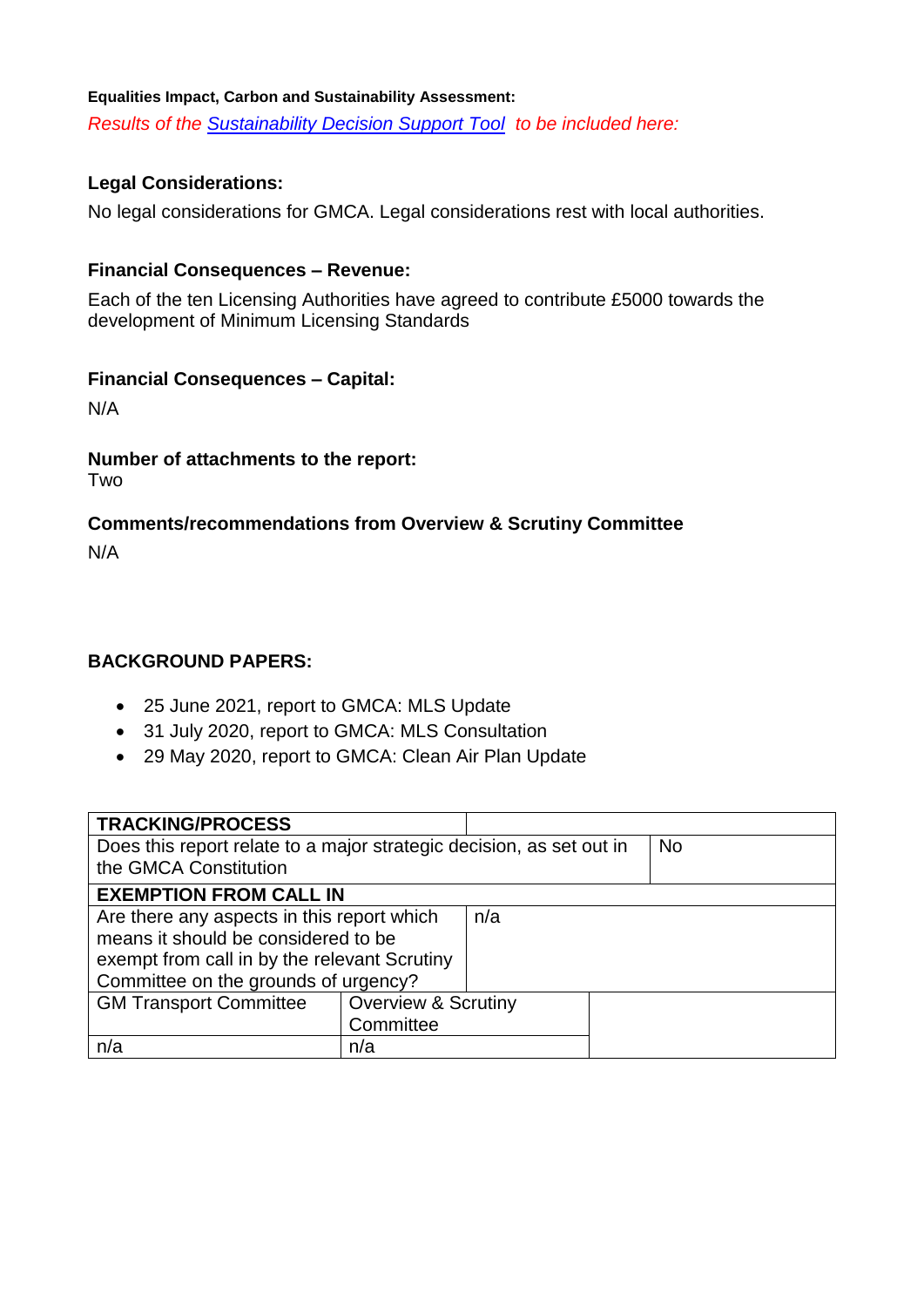#### **Equalities Impact, Carbon and Sustainability Assessment:**

*Results of the [Sustainability Decision Support Tool](http://insidegmca.gmfs.local/tools-and-apps/) to be included here:*

#### **Legal Considerations:**

No legal considerations for GMCA. Legal considerations rest with local authorities.

#### **Financial Consequences – Revenue:**

Each of the ten Licensing Authorities have agreed to contribute £5000 towards the development of Minimum Licensing Standards

#### **Financial Consequences – Capital:**

N/A

#### **Number of attachments to the report:**

Two

#### **Comments/recommendations from Overview & Scrutiny Committee**

N/A

#### **BACKGROUND PAPERS:**

- 25 June 2021, report to GMCA: MLS Update
- 31 July 2020, report to GMCA: MLS Consultation
- 29 May 2020, report to GMCA: Clean Air Plan Update

| <b>TRACKING/PROCESS</b>                                                                       |                                |           |  |  |
|-----------------------------------------------------------------------------------------------|--------------------------------|-----------|--|--|
| Does this report relate to a major strategic decision, as set out in<br>the GMCA Constitution |                                | <b>No</b> |  |  |
| <b>EXEMPTION FROM CALL IN</b>                                                                 |                                |           |  |  |
| Are there any aspects in this report which                                                    |                                | n/a       |  |  |
| means it should be considered to be                                                           |                                |           |  |  |
| exempt from call in by the relevant Scrutiny                                                  |                                |           |  |  |
| Committee on the grounds of urgency?                                                          |                                |           |  |  |
| <b>GM Transport Committee</b>                                                                 | <b>Overview &amp; Scrutiny</b> |           |  |  |
|                                                                                               | Committee                      |           |  |  |
| n/a                                                                                           | n/a                            |           |  |  |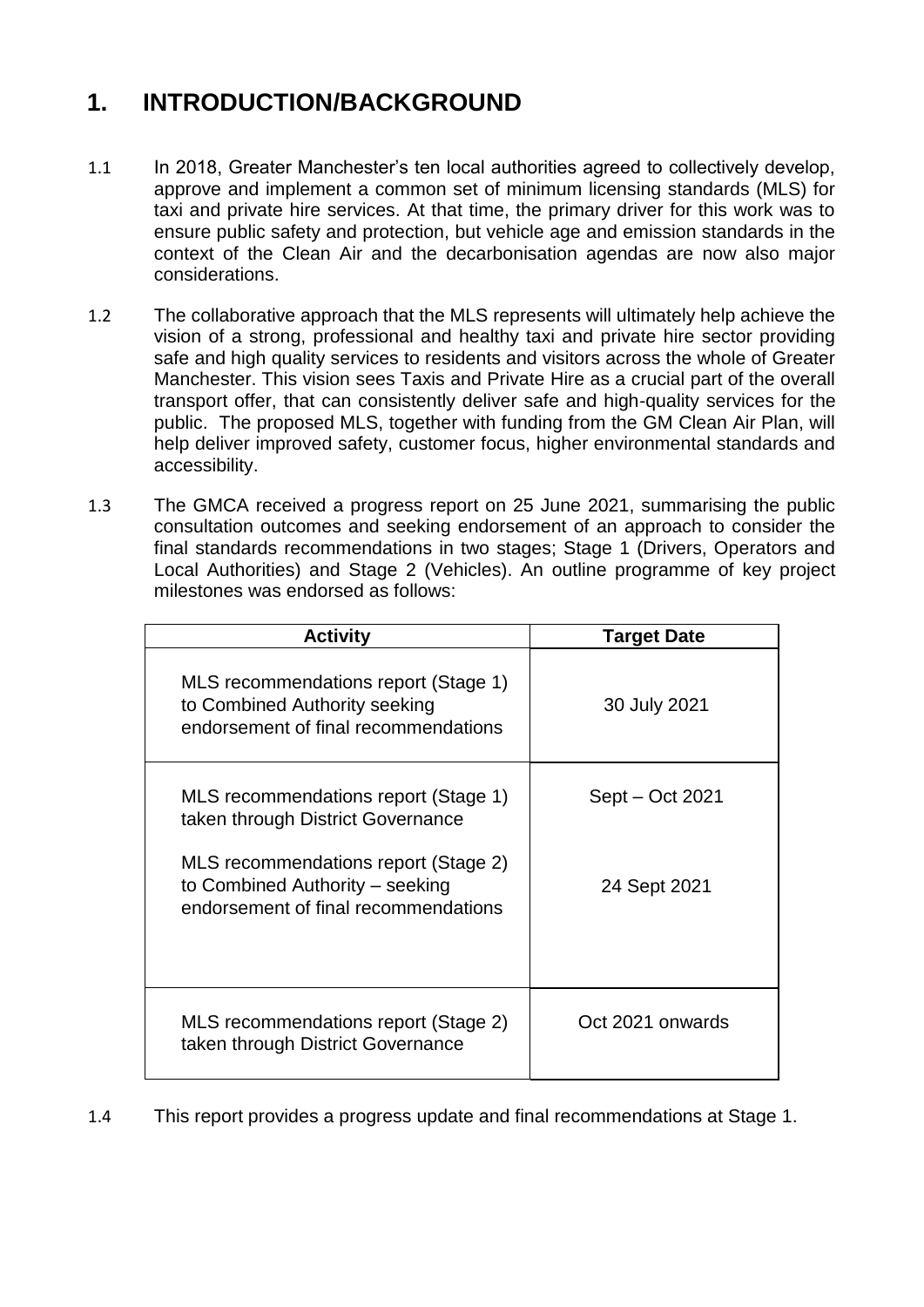# **1. INTRODUCTION/BACKGROUND**

- 1.1 In 2018, Greater Manchester's ten local authorities agreed to collectively develop, approve and implement a common set of minimum licensing standards (MLS) for taxi and private hire services. At that time, the primary driver for this work was to ensure public safety and protection, but vehicle age and emission standards in the context of the Clean Air and the decarbonisation agendas are now also major considerations.
- 1.2 The collaborative approach that the MLS represents will ultimately help achieve the vision of a strong, professional and healthy taxi and private hire sector providing safe and high quality services to residents and visitors across the whole of Greater Manchester. This vision sees Taxis and Private Hire as a crucial part of the overall transport offer, that can consistently deliver safe and high-quality services for the public. The proposed MLS, together with funding from the GM Clean Air Plan, will help deliver improved safety, customer focus, higher environmental standards and accessibility.
- 1.3 The GMCA received a progress report on 25 June 2021, summarising the public consultation outcomes and seeking endorsement of an approach to consider the final standards recommendations in two stages; Stage 1 (Drivers, Operators and Local Authorities) and Stage 2 (Vehicles). An outline programme of key project milestones was endorsed as follows:

| <b>Activity</b>                                                                                                                                                                              | <b>Target Date</b>              |  |  |
|----------------------------------------------------------------------------------------------------------------------------------------------------------------------------------------------|---------------------------------|--|--|
| MLS recommendations report (Stage 1)<br>to Combined Authority seeking<br>endorsement of final recommendations                                                                                | 30 July 2021                    |  |  |
| MLS recommendations report (Stage 1)<br>taken through District Governance<br>MLS recommendations report (Stage 2)<br>to Combined Authority - seeking<br>endorsement of final recommendations | Sept – Oct 2021<br>24 Sept 2021 |  |  |
| MLS recommendations report (Stage 2)<br>taken through District Governance                                                                                                                    | Oct 2021 onwards                |  |  |

1.4 This report provides a progress update and final recommendations at Stage 1.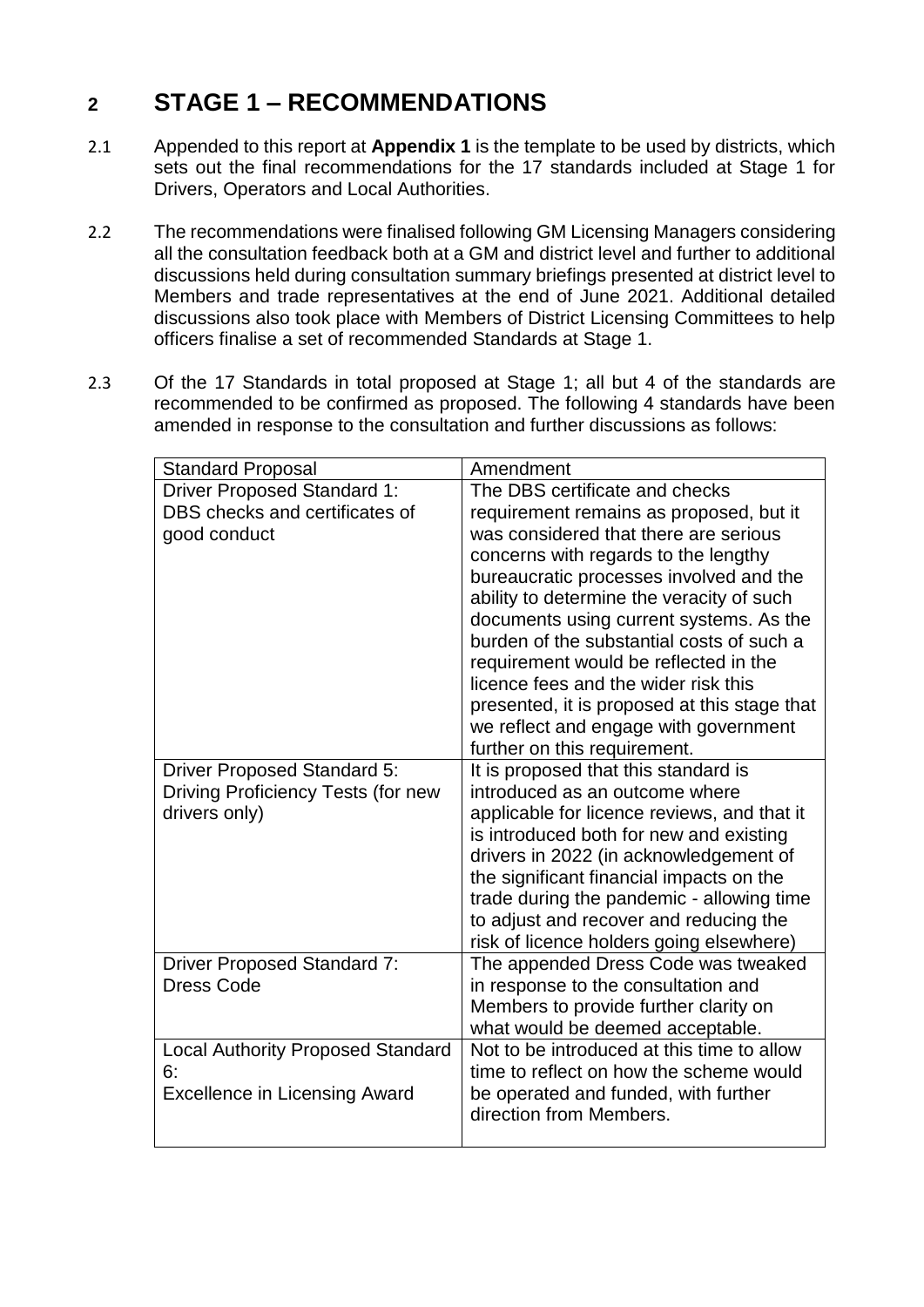# **2 STAGE 1 – RECOMMENDATIONS**

- 2.1 Appended to this report at **Appendix 1** is the template to be used by districts, which sets out the final recommendations for the 17 standards included at Stage 1 for Drivers, Operators and Local Authorities.
- 2.2 The recommendations were finalised following GM Licensing Managers considering all the consultation feedback both at a GM and district level and further to additional discussions held during consultation summary briefings presented at district level to Members and trade representatives at the end of June 2021. Additional detailed discussions also took place with Members of District Licensing Committees to help officers finalise a set of recommended Standards at Stage 1.
- 2.3 Of the 17 Standards in total proposed at Stage 1; all but 4 of the standards are recommended to be confirmed as proposed. The following 4 standards have been amended in response to the consultation and further discussions as follows:

| <b>Standard Proposal</b>                 | Amendment                                                       |  |  |
|------------------------------------------|-----------------------------------------------------------------|--|--|
| <b>Driver Proposed Standard 1:</b>       | The DBS certificate and checks                                  |  |  |
| DBS checks and certificates of           | requirement remains as proposed, but it                         |  |  |
| good conduct                             | was considered that there are serious                           |  |  |
|                                          | concerns with regards to the lengthy                            |  |  |
|                                          | bureaucratic processes involved and the                         |  |  |
|                                          | ability to determine the veracity of such                       |  |  |
|                                          | documents using current systems. As the                         |  |  |
|                                          | burden of the substantial costs of such a                       |  |  |
|                                          | requirement would be reflected in the                           |  |  |
|                                          | licence fees and the wider risk this                            |  |  |
|                                          | presented, it is proposed at this stage that                    |  |  |
|                                          | we reflect and engage with government                           |  |  |
|                                          | further on this requirement.                                    |  |  |
| <b>Driver Proposed Standard 5:</b>       | It is proposed that this standard is                            |  |  |
| Driving Proficiency Tests (for new       | introduced as an outcome where                                  |  |  |
| drivers only)                            | applicable for licence reviews, and that it                     |  |  |
|                                          | is introduced both for new and existing                         |  |  |
|                                          | drivers in 2022 (in acknowledgement of                          |  |  |
|                                          | the significant financial impacts on the                        |  |  |
|                                          | trade during the pandemic - allowing time                       |  |  |
|                                          | to adjust and recover and reducing the                          |  |  |
|                                          | risk of licence holders going elsewhere)                        |  |  |
| <b>Driver Proposed Standard 7:</b>       | The appended Dress Code was tweaked                             |  |  |
| Dress Code                               | in response to the consultation and                             |  |  |
|                                          | Members to provide further clarity on                           |  |  |
|                                          | what would be deemed acceptable.                                |  |  |
| <b>Local Authority Proposed Standard</b> | Not to be introduced at this time to allow                      |  |  |
| 6:                                       | time to reflect on how the scheme would                         |  |  |
| <b>Excellence in Licensing Award</b>     | be operated and funded, with further<br>direction from Members. |  |  |
|                                          |                                                                 |  |  |
|                                          |                                                                 |  |  |